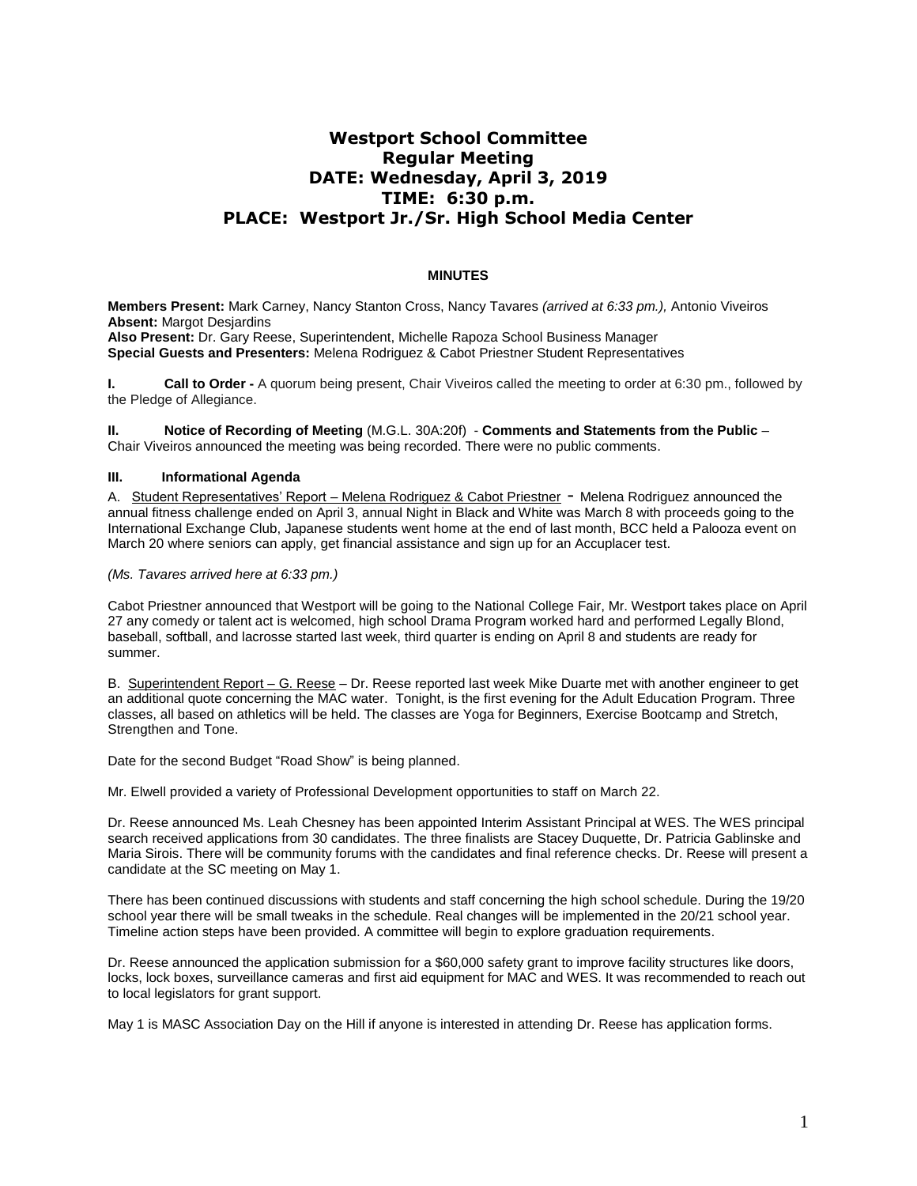## **Westport School Committee Regular Meeting DATE: Wednesday, April 3, 2019 TIME: 6:30 p.m. PLACE: Westport Jr./Sr. High School Media Center**

## **MINUTES**

**Members Present:** Mark Carney, Nancy Stanton Cross, Nancy Tavares *(arrived at 6:33 pm.),* Antonio Viveiros **Absent:** Margot Desjardins **Also Present:** Dr. Gary Reese, Superintendent, Michelle Rapoza School Business Manager **Special Guests and Presenters:** Melena Rodriguez & Cabot Priestner Student Representatives

**I.** Call to Order - A quorum being present, Chair Viveiros called the meeting to order at 6:30 pm., followed by the Pledge of Allegiance.

**II. Notice of Recording of Meeting** (M.G.L. 30A:20f) - **Comments and Statements from the Public** – Chair Viveiros announced the meeting was being recorded. There were no public comments.

## **III. Informational Agenda**

A. Student Representatives' Report – Melena Rodriguez & Cabot Priestner - Melena Rodriguez announced the annual fitness challenge ended on April 3, annual Night in Black and White was March 8 with proceeds going to the International Exchange Club, Japanese students went home at the end of last month, BCC held a Palooza event on March 20 where seniors can apply, get financial assistance and sign up for an Accuplacer test.

*(Ms. Tavares arrived here at 6:33 pm.)*

Cabot Priestner announced that Westport will be going to the National College Fair, Mr. Westport takes place on April 27 any comedy or talent act is welcomed, high school Drama Program worked hard and performed Legally Blond, baseball, softball, and lacrosse started last week, third quarter is ending on April 8 and students are ready for summer.

B. Superintendent Report – G. Reese – Dr. Reese reported last week Mike Duarte met with another engineer to get an additional quote concerning the MAC water. Tonight, is the first evening for the Adult Education Program. Three classes, all based on athletics will be held. The classes are Yoga for Beginners, Exercise Bootcamp and Stretch, Strengthen and Tone.

Date for the second Budget "Road Show" is being planned.

Mr. Elwell provided a variety of Professional Development opportunities to staff on March 22.

Dr. Reese announced Ms. Leah Chesney has been appointed Interim Assistant Principal at WES. The WES principal search received applications from 30 candidates. The three finalists are Stacey Duquette, Dr. Patricia Gablinske and Maria Sirois. There will be community forums with the candidates and final reference checks. Dr. Reese will present a candidate at the SC meeting on May 1.

There has been continued discussions with students and staff concerning the high school schedule. During the 19/20 school year there will be small tweaks in the schedule. Real changes will be implemented in the 20/21 school year. Timeline action steps have been provided. A committee will begin to explore graduation requirements.

Dr. Reese announced the application submission for a \$60,000 safety grant to improve facility structures like doors, locks, lock boxes, surveillance cameras and first aid equipment for MAC and WES. It was recommended to reach out to local legislators for grant support.

May 1 is MASC Association Day on the Hill if anyone is interested in attending Dr. Reese has application forms.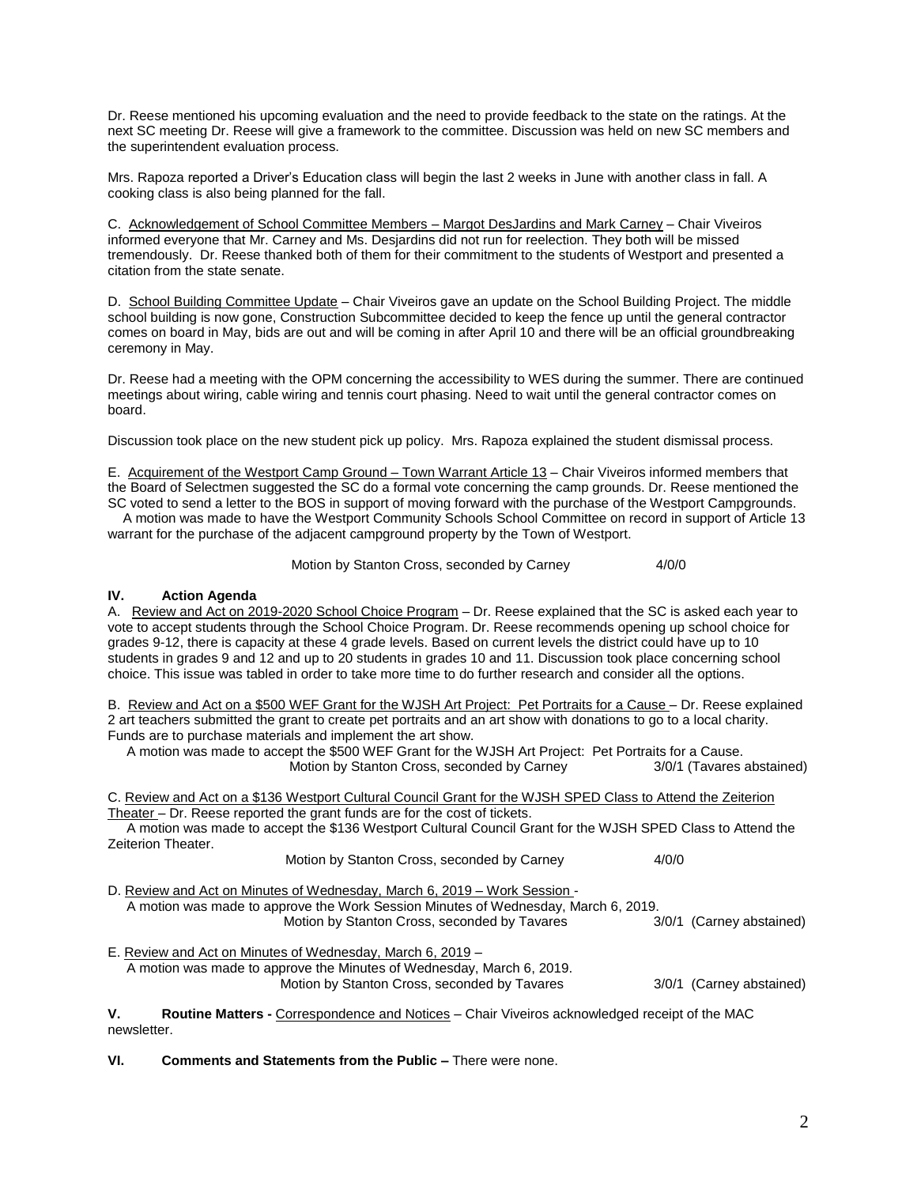Dr. Reese mentioned his upcoming evaluation and the need to provide feedback to the state on the ratings. At the next SC meeting Dr. Reese will give a framework to the committee. Discussion was held on new SC members and the superintendent evaluation process.

Mrs. Rapoza reported a Driver's Education class will begin the last 2 weeks in June with another class in fall. A cooking class is also being planned for the fall.

C. Acknowledgement of School Committee Members – Margot DesJardins and Mark Carney – Chair Viveiros informed everyone that Mr. Carney and Ms. Desjardins did not run for reelection. They both will be missed tremendously. Dr. Reese thanked both of them for their commitment to the students of Westport and presented a citation from the state senate.

D. School Building Committee Update - Chair Viveiros gave an update on the School Building Project. The middle school building is now gone, Construction Subcommittee decided to keep the fence up until the general contractor comes on board in May, bids are out and will be coming in after April 10 and there will be an official groundbreaking ceremony in May.

Dr. Reese had a meeting with the OPM concerning the accessibility to WES during the summer. There are continued meetings about wiring, cable wiring and tennis court phasing. Need to wait until the general contractor comes on board.

Discussion took place on the new student pick up policy. Mrs. Rapoza explained the student dismissal process.

E. Acquirement of the Westport Camp Ground – Town Warrant Article 13 – Chair Viveiros informed members that the Board of Selectmen suggested the SC do a formal vote concerning the camp grounds. Dr. Reese mentioned the SC voted to send a letter to the BOS in support of moving forward with the purchase of the Westport Campgrounds. A motion was made to have the Westport Community Schools School Committee on record in support of Article 13

warrant for the purchase of the adjacent campground property by the Town of Westport.

Motion by Stanton Cross, seconded by Carney 4/0/0

## **IV. Action Agenda**

A. Review and Act on 2019-2020 School Choice Program – Dr. Reese explained that the SC is asked each year to vote to accept students through the School Choice Program. Dr. Reese recommends opening up school choice for grades 9-12, there is capacity at these 4 grade levels. Based on current levels the district could have up to 10 students in grades 9 and 12 and up to 20 students in grades 10 and 11. Discussion took place concerning school choice. This issue was tabled in order to take more time to do further research and consider all the options.

B. Review and Act on a \$500 WEF Grant for the WJSH Art Project: Pet Portraits for a Cause – Dr. Reese explained 2 art teachers submitted the grant to create pet portraits and an art show with donations to go to a local charity. Funds are to purchase materials and implement the art show.

 A motion was made to accept the \$500 WEF Grant for the WJSH Art Project: Pet Portraits for a Cause. Motion by Stanton Cross, seconded by Carney 3/0/1 (Tavares abstained)

C. Review and Act on a \$136 Westport Cultural Council Grant for the WJSH SPED Class to Attend the Zeiterion Theater – Dr. Reese reported the grant funds are for the cost of tickets.

 A motion was made to accept the \$136 Westport Cultural Council Grant for the WJSH SPED Class to Attend the Zeiterion Theater.

| Motion by Stanton Cross, seconded by Carney | 4/0/0 |
|---------------------------------------------|-------|
|---------------------------------------------|-------|

D. Review and Act on Minutes of Wednesday, March 6, 2019 – Work Session - A motion was made to approve the Work Session Minutes of Wednesday, March 6, 2019. Motion by Stanton Cross, seconded by Tavares 3/0/1 (Carney abstained)

E. Review and Act on Minutes of Wednesday, March 6, 2019 – A motion was made to approve the Minutes of Wednesday, March 6, 2019. Motion by Stanton Cross, seconded by Tavares 3/0/1 (Carney abstained)

**V. Routine Matters -** Correspondence and Notices – Chair Viveiros acknowledged receipt of the MAC newsletter.

**VI. Comments and Statements from the Public –** There were none.